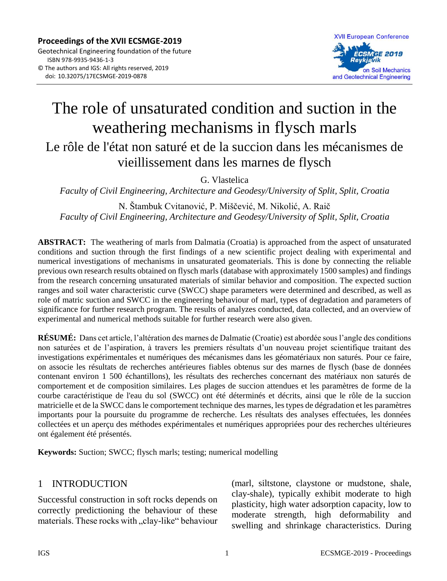

# The role of unsaturated condition and suction in the weathering mechanisms in flysch marls Le rôle de l'état non saturé et de la succion dans les mécanismes de vieillissement dans les marnes de flysch

G. Vlastelica

*Faculty of Civil Engineering, Architecture and Geodesy/University of Split, Split, Croatia*

N. Štambuk Cvitanović, P. Miščević, M. Nikolić, A. Raič *Faculty of Civil Engineering, Architecture and Geodesy/University of Split, Split, Croatia*

**ABSTRACT:** The weathering of marls from Dalmatia (Croatia) is approached from the aspect of unsaturated conditions and suction through the first findings of a new scientific project dealing with experimental and numerical investigations of mechanisms in unsaturated geomaterials. This is done by connecting the reliable previous own research results obtained on flysch marls (database with approximately 1500 samples) and findings from the research concerning unsaturated materials of similar behavior and composition. The expected suction ranges and soil water characteristic curve (SWCC) shape parameters were determined and described, as well as role of matric suction and SWCC in the engineering behaviour of marl, types of degradation and parameters of significance for further research program. The results of analyzes conducted, data collected, and an overview of experimental and numerical methods suitable for further research were also given.

**RÉSUMÉ:** Dans cet article, l'altération des marnes de Dalmatie (Croatie) est abordée sous l'angle des conditions non saturées et de l'aspiration, à travers les premiers résultats d'un nouveau projet scientifique traitant des investigations expérimentales et numériques des mécanismes dans les géomatériaux non saturés. Pour ce faire, on associe les résultats de recherches antérieures fiables obtenus sur des marnes de flysch (base de données contenant environ 1 500 échantillons), les résultats des recherches concernant des matériaux non saturés de comportement et de composition similaires. Les plages de succion attendues et les paramètres de forme de la courbe caractéristique de l'eau du sol (SWCC) ont été déterminés et décrits, ainsi que le rôle de la succion matricielle et de la SWCC dans le comportement technique des marnes, les types de dégradation et les paramètres importants pour la poursuite du programme de recherche. Les résultats des analyses effectuées, les données collectées et un aperçu des méthodes expérimentales et numériques appropriées pour des recherches ultérieures ont également été présentés.

**Keywords:** Suction; SWCC; flysch marls; testing; numerical modelling

#### 1 INTRODUCTION

Successful construction in soft rocks depends on correctly predictioning the behaviour of these materials. These rocks with "clay-like" behaviour (marl, siltstone, claystone or mudstone, shale, clay-shale), typically exhibit moderate to high plasticity, high water adsorption capacity, low to moderate strength, high deformability and swelling and shrinkage characteristics. During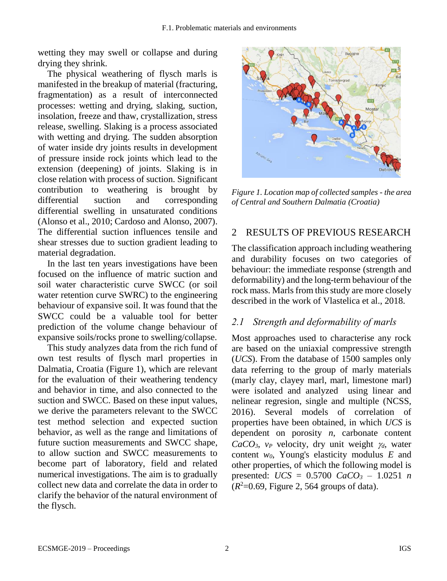wetting they may swell or collapse and during drying they shrink.

The physical weathering of flysch marls is manifested in the breakup of material (fracturing, fragmentation) as a result of interconnected processes: wetting and drying, slaking, suction, insolation, freeze and thaw, crystallization, stress release, swelling. Slaking is a process associated with wetting and drying. The sudden absorption of water inside dry joints results in development of pressure inside rock joints which lead to the extension (deepening) of joints. Slaking is in close relation with process of suction. Significant contribution to weathering is brought by differential suction and corresponding differential swelling in unsaturated conditions (Alonso et al., 2010; Cardoso and Alonso, 2007). The differential suction influences tensile and shear stresses due to suction gradient leading to material degradation.

In the last ten years investigations have been focused on the influence of matric suction and soil water characteristic curve SWCC (or soil water retention curve SWRC) to the engineering behaviour of expansive soil. It was found that the SWCC could be a valuable tool for better prediction of the volume change behaviour of expansive soils/rocks prone to swelling/collapse.

This study analyzes data from the rich fund of own test results of flysch marl properties in Dalmatia, Croatia (Figure 1), which are relevant for the evaluation of their weathering tendency and behavior in time, and also connected to the suction and SWCC. Based on these input values, we derive the parameters relevant to the SWCC test method selection and expected suction behavior, as well as the range and limitations of future suction measurements and SWCC shape, to allow suction and SWCC measurements to become part of laboratory, field and related numerical investigations. The aim is to gradually collect new data and correlate the data in order to clarify the behavior of the natural environment of the flysch.



*Figure 1. Location map of collected samples - the area of Central and Southern Dalmatia (Croatia)*

### 2 RESULTS OF PREVIOUS RESEARCH

The classification approach including weathering and durability focuses on two categories of behaviour: the immediate response (strength and deformability) and the long-term behaviour of the rock mass. Marls from this study are more closely described in the work of Vlastelica et al., 2018.

### *2.1 Strength and deformability of marls*

Most approaches used to characterise any rock are based on the uniaxial compressive strength (*UCS*). From the database of 1500 samples only data referring to the group of marly materials (marly clay, clayey marl, marl, limestone marl) were isolated and analyzed using linear and nelinear regresion, single and multiple (NCSS, 2016). Several models of correlation of properties have been obtained, in which *UCS* is dependent on porosity *n*, carbonate content  $CaCO<sub>3</sub>$ ,  $v<sub>P</sub>$  velocity, dry unit weight  $\gamma_d$ , water content *w0*, Young's elasticity modulus *E* and other properties, of which the following model is presented: *UCS* = 0.5700 *CaCO<sup>3</sup>* – 1.0251 *n*  $(R<sup>2</sup>=0.69$ , Figure 2, 564 groups of data).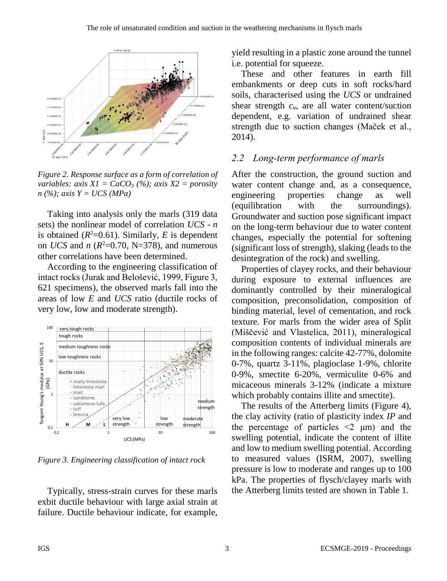

*Figure 2. Response surface as a form of correlation of variables: axis X1 = CaCO<sup>3</sup> (%); axis X2 = porosity n (%); axis Y = UCS (MPa)*

Taking into analysis only the marls (319 data sets) the nonlinear model of correlation *UCS - n* is obtained  $(R^2=0.61)$ . Similarly, *E* is dependent on *UCS* and *n* ( $R^2$ =0.70, N=378), and numerous other correlations have been determined.

According to the engineering classification of intact rocks (Jurak and Belošević, 1999, Figure 3, 621 specimens), the observed marls fall into the areas of low *E* and *UCS* ratio (ductile rocks of very low, low and moderate strength).



*Figure 3. Engineering classification of intact rock*

Typically, stress-strain curves for these marls exbit ductile behaviour with large axial strain at failure. Ductile behaviour indicate, for example, yield resulting in a plastic zone around the tunnel i.e. potential for squeeze.

These and other features in earth fill embankments or deep cuts in soft rocks/hard soils, characterised using the *UCS* or undrained shear strength  $c<sub>u</sub>$ , are all water content/suction dependent, e.g. variation of undrained shear strength due to suction changes (Maček et al., 2014).

#### *2.2 Long-term performance of marls*

After the construction, the ground suction and water content change and, as a consequence, engineering properties change as well (equilibration with the surroundings). Groundwater and suction pose significant impact on the long-term behaviour due to water content changes, especially the potential for softening (significant loss of strength), slaking (leads to the desintegration of the rock) and swelling.

Properties of clayey rocks, and their behaviour during exposure to external influences are dominantly controlled by their mineralogical composition, preconsolidation, composition of binding material, level of cementation, and rock texture. For marls from the wider area of Split (Miščević and Vlastelica, 2011), mineralogical composition contents of individual minerals are in the following ranges: calcite 42-77%, dolomite 0-7%, quartz 3-11%, plagioclase 1-9%, chlorite 0-9%, smectite 6-20%, vermiculite 0-6% and micaceous minerals 3-12% (indicate a mixture which probably contains illite and smectite).

The results of the Atterberg limits (Figure 4), the clay activity (ratio of plasticity index *IP* and the percentage of particles  $\leq 2$  μm) and the swelling potential, indicate the content of illite and low to medium swelling potential. According to measured values (ISRM, 2007), swelling pressure is low to moderate and ranges up to 100 kPa. The properties of flysch/clayey marls with the Atterberg limits tested are shown in Table 1.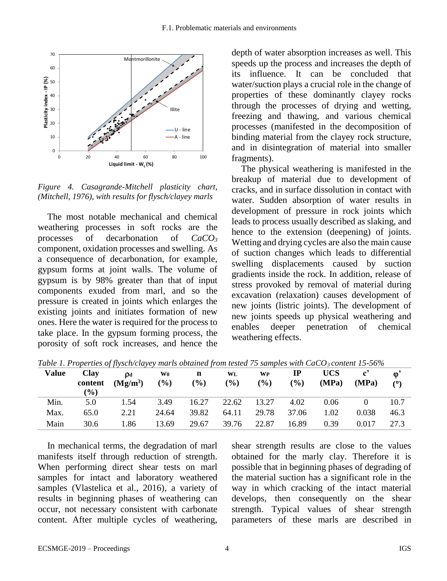

*Figure 4. Casagrande-Mitchell plasticity chart, (Mitchell, 1976), with results for flysch/clayey marls*

The most notable mechanical and chemical weathering processes in soft rocks are the processes of decarbonation of *CaCO<sup>3</sup>* component, oxidation processes and swelling. As a consequence of decarbonation, for example, gypsum forms at joint walls. The volume of gypsum is by 98% greater than that of input components exuded from marl, and so the pressure is created in joints which enlarges the existing joints and initiates formation of new ones. Here the water is required for the process to take place. In the gypsum forming process, the porosity of soft rock increases, and hence the

depth of water absorption increases as well. This speeds up the process and increases the depth of its influence. It can be concluded that water/suction plays a crucial role in the change of properties of these dominantly clayey rocks through the processes of drying and wetting, freezing and thawing, and various chemical processes (manifested in the decomposition of binding material from the clayey rock structure, and in disintegration of material into smaller fragments).

The physical weathering is manifested in the breakup of material due to development of cracks, and in surface dissolution in contact with water. Sudden absorption of water results in development of pressure in rock joints which leads to process usually described as slaking, and hence to the extension (deepening) of joints. Wetting and drying cycles are also the main cause of suction changes which leads to differential swelling displacements caused by suction gradients inside the rock. In addition, release of stress provoked by removal of material during excavation (relaxation) causes development of new joints (listric joints). The development of new joints speeds up physical weathering and enables deeper penetration of chemical weathering effects.

| Value | Clay          | <b>D</b> d | W <sub>0</sub> | n      | WL    | <b>WP</b> | $_{\rm IP}$ | <b>UCS</b> | $\mathbf{c}^{\prime}$ | $\mathbf{0}^{\mathsf{i}}$ |
|-------|---------------|------------|----------------|--------|-------|-----------|-------------|------------|-----------------------|---------------------------|
|       | content       | $(Mg/m^3)$ | $($ %)         | $($ %) | (%)   | (%)       | $(\%)$      | (MPa)      | (MPa)                 | (9)                       |
|       | $\frac{9}{6}$ |            |                |        |       |           |             |            |                       |                           |
| Min.  | 5.0           | 1.54       | 3.49           | 16.27  | 22.62 | 13.27     | 4.02        | 0.06       |                       | 10.7                      |
| Max.  | 65.0          | 2.21       | 24.64          | 39.82  | 64.11 | 29.78     | 37.06       | 1.02       | 0.038                 | 46.3                      |
| Main  | 30.6          | 1.86       | 13.69          | 29.67  | 39.76 | 22.87     | 16.89       | 0.39       | 0.017                 | 27.3                      |

*Table 1. Properties of flysch/clayey marls obtained from tested 75 samples with CaCO3 content 15-56%*

In mechanical terms, the degradation of marl manifests itself through reduction of strength. When performing direct shear tests on marl samples for intact and laboratory weathered samples (Vlastelica et al., 2016), a variety of results in beginning phases of weathering can occur, not necessary consistent with carbonate content. After multiple cycles of weathering,

shear strength results are close to the values obtained for the marly clay. Therefore it is possible that in beginning phases of degrading of the material suction has a significant role in the way in which cracking of the intact material develops, then consequently on the shear strength. Typical values of shear strength parameters of these marls are described in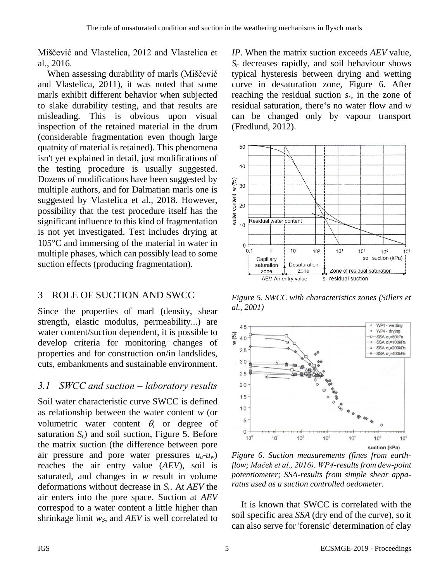Miščević and Vlastelica, 2012 and Vlastelica et al., 2016.

When assessing durability of marls (Miščević and Vlastelica, 2011), it was noted that some marls exhibit different behavior when subjected to slake durability testing, and that results are misleading. This is obvious upon visual inspection of the retained material in the drum (considerable fragmentation even though large quatnity of material is retained). This phenomena isn't yet explained in detail, just modifications of the testing procedure is usually suggested. Dozens of modifications have been suggested by multiple authors, and for Dalmatian marls one is suggested by Vlastelica et al., 2018. However, possibility that the test procedure itself has the significant influence to this kind of fragmentation is not yet investigated. Test includes drying at  $105^{\circ}$ C and immersing of the material in water in multiple phases, which can possibly lead to some suction effects (producing fragmentation).

# 3 ROLE OF SUCTION AND SWCC

Since the properties of marl (density, shear strength, elastic modulus, permeability...) are water content/suction dependent, it is possible to develop criteria for monitoring changes of properties and for construction on/in landslides, cuts, embankments and sustainable environment.

## *3.1 SWCC and suction* − *laboratory results*

Soil water characteristic curve SWCC is defined as relationship between the water content *w* (or volumetric water content  $\theta$ , or degree of saturation  $S_r$ ) and soil suction, Figure 5. Before the matrix suction (the difference between pore air pressure and pore water pressures  $u_a$ - $u_w$ ) reaches the air entry value (*AEV*), soil is saturated, and changes in *w* result in volume deformations without decrease in *Sr.* At *AEV* the air enters into the pore space. Suction at *AEV* correspod to a water content a little higher than shrinkage limit *wS*, and *AEV* is well correlated to *IP*. When the matrix suction exceeds *AEV* value, *S<sup>r</sup>* decreases rapidly, and soil behaviour shows typical hysteresis between drying and wetting curve in desaturation zone, Figure 6. After reaching the residual suction *sr*, in the zone of residual saturation, there's no water flow and *w* can be changed only by vapour transport (Fredlund, 2012).



*Figure 5. SWCC with characteristics zones (Sillers et al., 2001)*



*Figure 6. Suction measurements (fines from earthflow; Maček et al., 2016). WP4-results from dew-point potentiometer; SSA-results from simple shear apparatus used as a suction controlled oedometer.*

It is known that SWCC is correlated with the soil specific area *SSA* (dry end of the curve), so it can also serve for 'forensic' determination of clay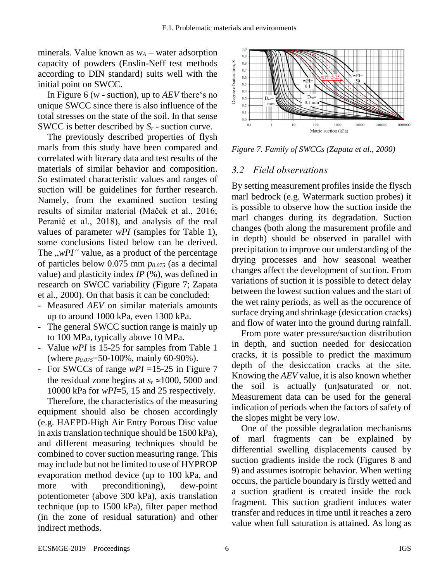minerals. Value known as  $w_A$  – water adsorption capacity of powders (Enslin-Neff test methods according to DIN standard) suits well with the initial point on SWCC.

In Figure 6 (*w* - suction), up to *AEV* there's no unique SWCC since there is also influence of the total stresses on the state of the soil. In that sense SWCC is better described by *S<sup>r</sup>* - suction curve.

The previously described properties of flysh marls from this study have been compared and correlated with literary data and test results of the materials of similar behavior and composition. So estimated characteristic values and ranges of suction will be guidelines for further research. Namely, from the examined suction testing results of similar material (Maček et al., 2016; Peranić et al., 2018), and analysis of the real values of parameter *wPI* (samples for Table 1), some conclusions listed below can be derived. The  $\mu$ PI" value, as a product of the percentage of particles below 0.075 mm *p0.075* (as a decimal value) and plasticity index *IP* (%), was defined in research on SWCC variability (Figure 7; Zapata et al., 2000). On that basis it can be concluded:

- Measured *AEV* on similar materials amounts up to around 1000 kPa, even 1300 kPa.
- The general SWCC suction range is mainly up to 100 MPa, typically above 10 MPa.
- Value *wPI* is 15-25 for samples from Table 1 (where *p0.075*=50-100%, mainly 60-90%).
- For SWCCs of range *wPI* =15-25 in Figure 7 the residual zone begins at  $s_r \approx 1000$ , 5000 and 10000 kPa for *wPI*=5, 15 and 25 respectively.

Therefore, the characteristics of the measuring equipment should also be chosen accordingly (e.g. HAEPD-High Air Entry Porous Disc value in axis translation technique should be 1500 kPa), and different measuring techniques should be combined to cover suction measuring range. This may include but not be limited to use of HYPROP evaporation method device (up to 100 kPa, and more with preconditioning), dew-point potentiometer (above 300 kPa), axis translation technique (up to 1500 kPa), filter paper method (in the zone of residual saturation) and other indirect methods.



*Figure 7. Family of SWCCs (Zapata et al., 2000)*

#### *3.2 Field observations*

By setting measurement profiles inside the flysch marl bedrock (e.g. Watermark suction probes) it is possible to observe how the suction inside the marl changes during its degradation. Suction changes (both along the masurement profile and in depth) should be observed in parallel with precipitation to improve our understanding of the drying processes and how seasonal weather changes affect the development of suction. From variations of suction it is possible to detect delay between the lowest suction values and the start of the wet rainy periods, as well as the occurence of surface drying and shrinkage (desiccation cracks) and flow of water into the ground during rainfall.

From pore water pressure/suction distribution in depth, and suction needed for desiccation cracks, it is possible to predict the maximum depth of the desiccation cracks at the site. Knowing the *AEV* value, it is also known whether the soil is actually (un)saturated or not. Measurement data can be used for the general indication of periods when the factors of safety of the slopes might be very low.

One of the possible degradation mechanisms of marl fragments can be explained by differential swelling displacements caused by suction gradients inside the rock (Figures 8 and 9) and assumes isotropic behavior. When wetting occurs, the particle boundary is firstly wetted and a suction gradient is created inside the rock fragment. This suction gradient induces water transfer and reduces in time until it reaches a zero value when full saturation is attained. As long as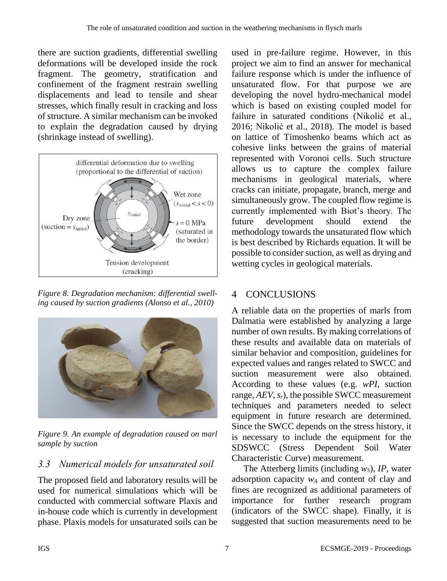there are suction gradients, differential swelling deformations will be developed inside the rock fragment. The geometry, stratification and confinement of the fragment restrain swelling displacements and lead to tensile and shear stresses, which finally result in cracking and loss of structure. A similar mechanism can be invoked to explain the degradation caused by drying (shrinkage instead of swelling).



*Figure 8. Degradation mechanism: differential swelling caused by suction gradients (Alonso et al., 2010)*



*Figure 9. An example of degradation caused on marl sample by suction*

# *3.3 Numerical models for unsaturated soil*

The proposed field and laboratory results will be used for numerical simulations which will be conducted with commercial software Plaxis and in-house code which is currently in development phase. Plaxis models for unsaturated soils can be

used in pre-failure regime. However, in this project we aim to find an answer for mechanical failure response which is under the influence of unsaturated flow. For that purpose we are developing the novel hydro-mechanical model which is based on existing coupled model for failure in saturated conditions (Nikolić et al., 2016; Nikolić et al., 2018). The model is based on lattice of Timoshenko beams which act as cohesive links between the grains of material represented with Voronoi cells. Such structure allows us to capture the complex failure mechanisms in geological materials, where cracks can initiate, propagate, branch, merge and simultaneously grow. The coupled flow regime is currently implemented with Biot's theory. The future development should extend the methodology towards the unsaturated flow which is best described by Richards equation. It will be possible to consider suction, as well as drying and wetting cycles in geological materials.

## 4 CONCLUSIONS

A reliable data on the properties of marls from Dalmatia were established by analyzing a large number of own results. By making correlations of these results and available data on materials of similar behavior and composition, guidelines for expected values and ranges related to SWCC and suction measurement were also obtained. According to these values (e.g. *wPI*, suction range, *AEV*, *sr*), the possible SWCC measurement techniques and parameters needed to select equipment in future research are determined. Since the SWCC depends on the stress history, it is necessary to include the equipment for the SDSWCC (Stress Dependent Soil Water Characteristic Curve) measurement.

The Atterberg limits (including *wS*), *IP*, water adsorption capacity *w<sup>A</sup>* and content of clay and fines are recognized as additional parameters of importance for further research program (indicators of the SWCC shape). Finally, it is suggested that suction measurements need to be